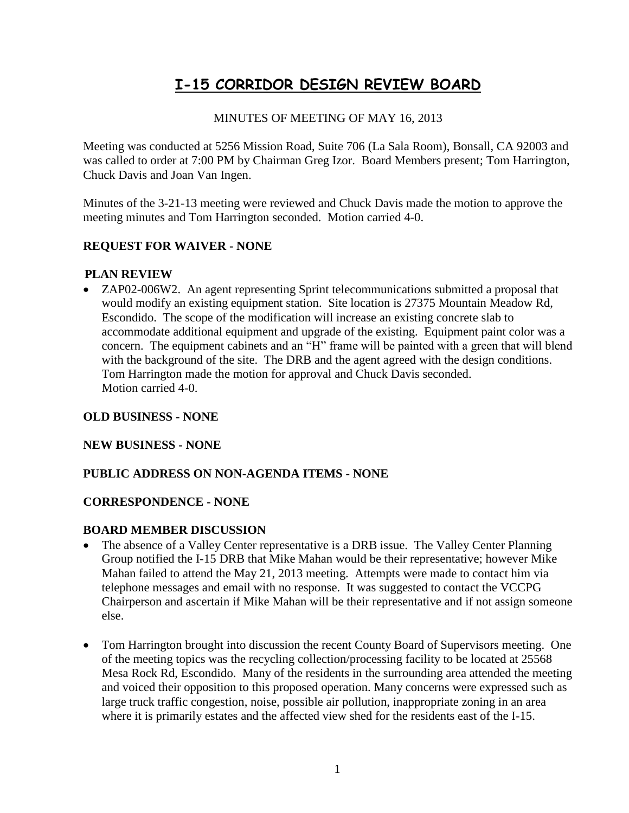# **I-15 CORRIDOR DESIGN REVIEW BOARD**

### MINUTES OF MEETING OF MAY 16, 2013

Meeting was conducted at 5256 Mission Road, Suite 706 (La Sala Room), Bonsall, CA 92003 and was called to order at 7:00 PM by Chairman Greg Izor. Board Members present; Tom Harrington, Chuck Davis and Joan Van Ingen.

Minutes of the 3-21-13 meeting were reviewed and Chuck Davis made the motion to approve the meeting minutes and Tom Harrington seconded. Motion carried 4-0.

## **REQUEST FOR WAIVER - NONE**

#### **PLAN REVIEW**

• ZAP02-006W2. An agent representing Sprint telecommunications submitted a proposal that would modify an existing equipment station. Site location is 27375 Mountain Meadow Rd, Escondido. The scope of the modification will increase an existing concrete slab to accommodate additional equipment and upgrade of the existing. Equipment paint color was a concern. The equipment cabinets and an "H" frame will be painted with a green that will blend with the background of the site. The DRB and the agent agreed with the design conditions. Tom Harrington made the motion for approval and Chuck Davis seconded. Motion carried 4-0.

#### **OLD BUSINESS - NONE**

#### **NEW BUSINESS - NONE**

#### **PUBLIC ADDRESS ON NON-AGENDA ITEMS - NONE**

#### **CORRESPONDENCE - NONE**

#### **BOARD MEMBER DISCUSSION**

- The absence of a Valley Center representative is a DRB issue. The Valley Center Planning Group notified the I-15 DRB that Mike Mahan would be their representative; however Mike Mahan failed to attend the May 21, 2013 meeting. Attempts were made to contact him via telephone messages and email with no response. It was suggested to contact the VCCPG Chairperson and ascertain if Mike Mahan will be their representative and if not assign someone else.
- Tom Harrington brought into discussion the recent County Board of Supervisors meeting. One of the meeting topics was the recycling collection/processing facility to be located at 25568 Mesa Rock Rd, Escondido. Many of the residents in the surrounding area attended the meeting and voiced their opposition to this proposed operation. Many concerns were expressed such as large truck traffic congestion, noise, possible air pollution, inappropriate zoning in an area where it is primarily estates and the affected view shed for the residents east of the I-15.